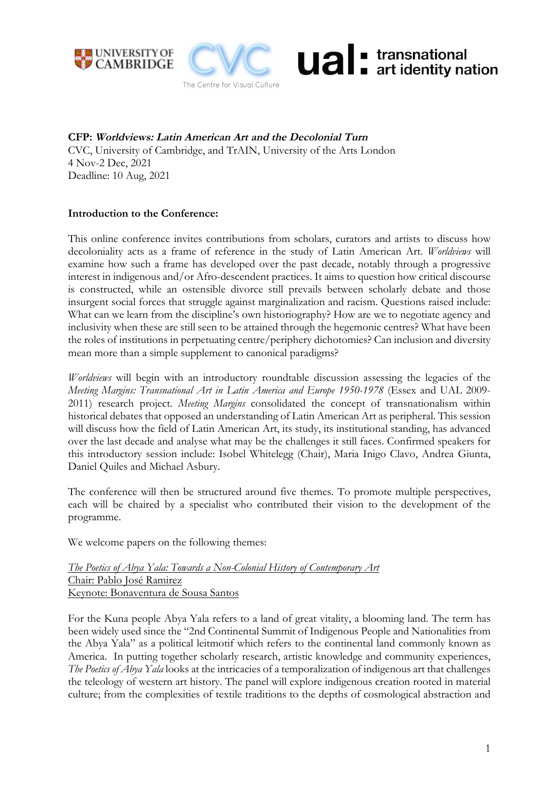





**CFP: Worldviews: Latin American Art and the Decolonial Turn** CVC, University of Cambridge, and TrAIN, University of the Arts London 4 Nov-2 Dec, 2021 Deadline: 10 Aug, 2021

## **Introduction to the Conference:**

This online conference invites contributions from scholars, curators and artists to discuss how decoloniality acts as a frame of reference in the study of Latin American Art. *Worldviews* will examine how such a frame has developed over the past decade, notably through a progressive interest in indigenous and/or Afro-descendent practices. It aims to question how critical discourse is constructed, while an ostensible divorce still prevails between scholarly debate and those insurgent social forces that struggle against marginalization and racism. Questions raised include: What can we learn from the discipline's own historiography? How are we to negotiate agency and inclusivity when these are still seen to be attained through the hegemonic centres? What have been the roles of institutions in perpetuating centre/periphery dichotomies? Can inclusion and diversity mean more than a simple supplement to canonical paradigms?

*Worldviews* will begin with an introductory roundtable discussion assessing the legacies of the *Meeting Margins: Transnational Art in Latin America and Europe 1950-1978* (Essex and UAL 2009- 2011) research project. *Meeting Margins* consolidated the concept of transnationalism within historical debates that opposed an understanding of Latin American Art as peripheral. This session will discuss how the field of Latin American Art, its study, its institutional standing, has advanced over the last decade and analyse what may be the challenges it still faces. Confirmed speakers for this introductory session include: Isobel Whitelegg (Chair), Maria Inigo Clavo, Andrea Giunta, Daniel Quiles and Michael Asbury.

The conference will then be structured around five themes. To promote multiple perspectives, each will be chaired by a specialist who contributed their vision to the development of the programme.

We welcome papers on the following themes:

*The Poetics of Abya Yala: Towards a Non-Colonial History of Contemporary Art* Chair: Pablo José Ramirez Keynote: Bonaventura de Sousa Santos

For the Kuna people Abya Yala refers to a land of great vitality, a blooming land. The term has been widely used since the "2nd Continental Summit of Indigenous People and Nationalities from the Abya Yala" as a political leitmotif which refers to the continental land commonly known as America. In putting together scholarly research, artistic knowledge and community experiences, *The Poetics of Abya Yala* looks at the intricacies of a temporalization of indigenous art that challenges the teleology of western art history. The panel will explore indigenous creation rooted in material culture; from the complexities of textile traditions to the depths of cosmological abstraction and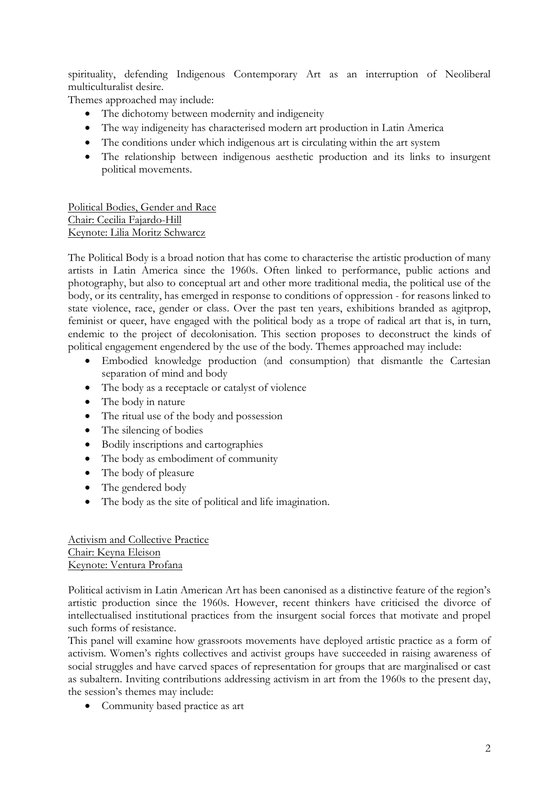spirituality, defending Indigenous Contemporary Art as an interruption of Neoliberal multiculturalist desire.

Themes approached may include:

- The dichotomy between modernity and indigeneity
- The way indigeneity has characterised modern art production in Latin America
- The conditions under which indigenous art is circulating within the art system
- The relationship between indigenous aesthetic production and its links to insurgent political movements.

Political Bodies, Gender and Race Chair: Cecilia Fajardo-Hill Keynote: Lilia Moritz Schwarcz

The Political Body is a broad notion that has come to characterise the artistic production of many artists in Latin America since the 1960s. Often linked to performance, public actions and photography, but also to conceptual art and other more traditional media, the political use of the body, or its centrality, has emerged in response to conditions of oppression - for reasons linked to state violence, race, gender or class. Over the past ten years, exhibitions branded as agitprop, feminist or queer, have engaged with the political body as a trope of radical art that is, in turn, endemic to the project of decolonisation. This section proposes to deconstruct the kinds of political engagement engendered by the use of the body. Themes approached may include:

- Embodied knowledge production (and consumption) that dismantle the Cartesian separation of mind and body
- The body as a receptacle or catalyst of violence
- The body in nature
- The ritual use of the body and possession
- The silencing of bodies
- Bodily inscriptions and cartographies
- The body as embodiment of community
- The body of pleasure
- The gendered body
- The body as the site of political and life imagination.

Activism and Collective Practice Chair: Keyna Eleison Keynote: Ventura Profana

Political activism in Latin American Art has been canonised as a distinctive feature of the region's artistic production since the 1960s. However, recent thinkers have criticised the divorce of intellectualised institutional practices from the insurgent social forces that motivate and propel such forms of resistance.

This panel will examine how grassroots movements have deployed artistic practice as a form of activism. Women's rights collectives and activist groups have succeeded in raising awareness of social struggles and have carved spaces of representation for groups that are marginalised or cast as subaltern. Inviting contributions addressing activism in art from the 1960s to the present day, the session's themes may include:

• Community based practice as art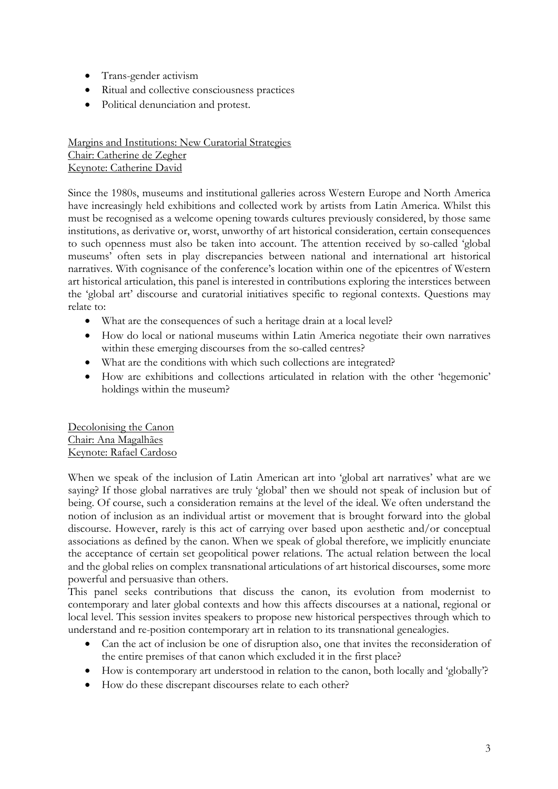- Trans-gender activism
- Ritual and collective consciousness practices
- Political denunciation and protest.

Margins and Institutions: New Curatorial Strategies Chair: Catherine de Zegher Keynote: Catherine David

Since the 1980s, museums and institutional galleries across Western Europe and North America have increasingly held exhibitions and collected work by artists from Latin America. Whilst this must be recognised as a welcome opening towards cultures previously considered, by those same institutions, as derivative or, worst, unworthy of art historical consideration, certain consequences to such openness must also be taken into account. The attention received by so-called 'global museums' often sets in play discrepancies between national and international art historical narratives. With cognisance of the conference's location within one of the epicentres of Western art historical articulation, this panel is interested in contributions exploring the interstices between the 'global art' discourse and curatorial initiatives specific to regional contexts. Questions may relate to:

- What are the consequences of such a heritage drain at a local level?
- How do local or national museums within Latin America negotiate their own narratives within these emerging discourses from the so-called centres?
- What are the conditions with which such collections are integrated?
- How are exhibitions and collections articulated in relation with the other 'hegemonic' holdings within the museum?

Decolonising the Canon Chair: Ana Magalhães Keynote: Rafael Cardoso

When we speak of the inclusion of Latin American art into 'global art narratives' what are we saying? If those global narratives are truly 'global' then we should not speak of inclusion but of being. Of course, such a consideration remains at the level of the ideal. We often understand the notion of inclusion as an individual artist or movement that is brought forward into the global discourse. However, rarely is this act of carrying over based upon aesthetic and/or conceptual associations as defined by the canon. When we speak of global therefore, we implicitly enunciate the acceptance of certain set geopolitical power relations. The actual relation between the local and the global relies on complex transnational articulations of art historical discourses, some more powerful and persuasive than others.

This panel seeks contributions that discuss the canon, its evolution from modernist to contemporary and later global contexts and how this affects discourses at a national, regional or local level. This session invites speakers to propose new historical perspectives through which to understand and re-position contemporary art in relation to its transnational genealogies.

- Can the act of inclusion be one of disruption also, one that invites the reconsideration of the entire premises of that canon which excluded it in the first place?
- How is contemporary art understood in relation to the canon, both locally and 'globally'?
- How do these discrepant discourses relate to each other?